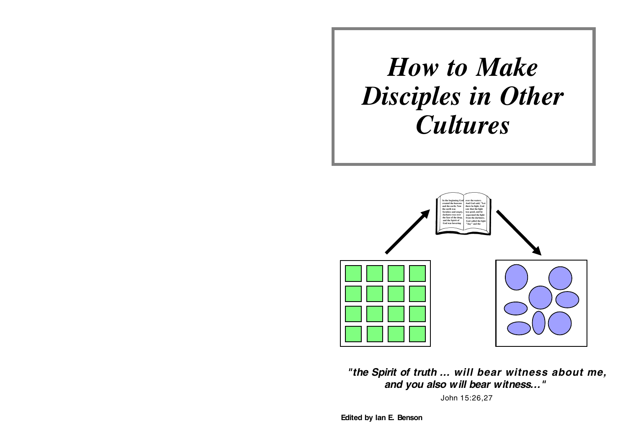# *How to Make Disciples in Other Cultures*



**"the Spirit of truth ... will bear witness about me, and you also will bear witness..."** 

John 15:26,27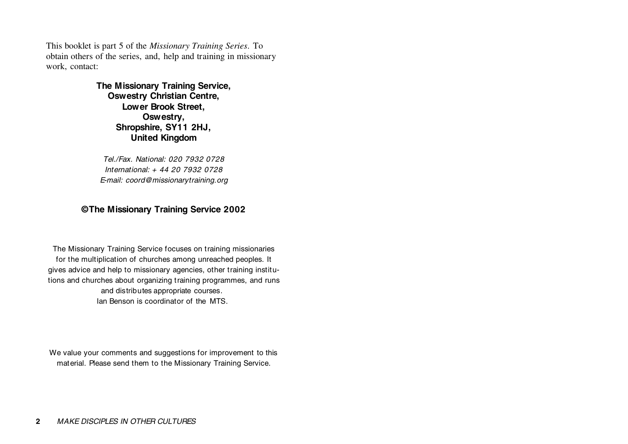This booklet is part 5 of the *Missionary Training Series*. To obtain others of the series, and, help and training in missionary work, contact:

#### **The Missionary Training Service, Oswestry Christian Centre, Lower Brook Street, Oswestry, Shropshire, SY11 2HJ, United Kingdom**

Tel./Fax. National: 020 7932 0728International: + 44 20 7932 0728E-mail: coord@missionarytraining.org

#### **© The Missionary Training Service 2002**

The Missionary Training Service focuses on training missionaries for the multiplication of churches among unreached peoples. It gives advice and help to missionary agencies, other training institutions and churches about organizing training programmes, and runs and distributes appropriate courses. Ian Benson is coordinator of the MTS.

We value your comments and suggestions for improvement to this material. Please send them to the Missionary Training Service.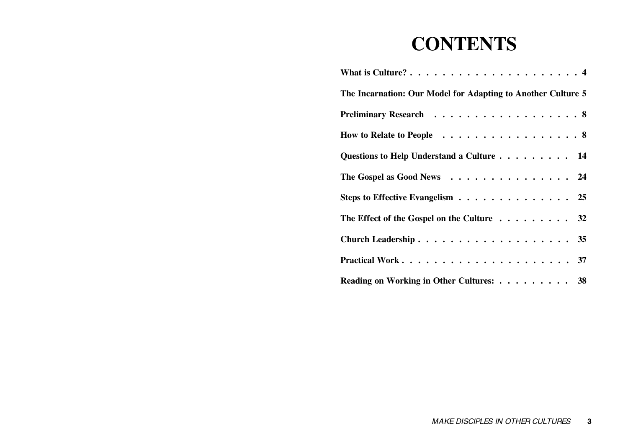# **CONTENTS**

| The Incarnation: Our Model for Adapting to Another Culture 5 |
|--------------------------------------------------------------|
| Preliminary Research 8                                       |
| How to Relate to People 8                                    |
| Questions to Help Understand a Culture 14                    |
| The Gospel as Good News 24                                   |
| Steps to Effective Evangelism 25                             |
| The Effect of the Gospel on the Culture 32                   |
|                                                              |
|                                                              |
| Reading on Working in Other Cultures: 38                     |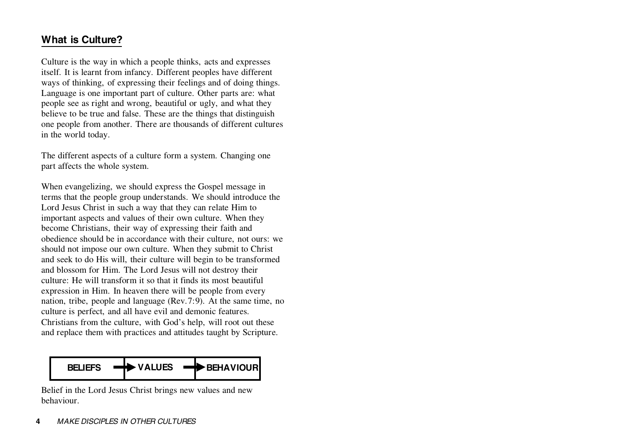# **What is Culture?**

Culture is the way in which a people thinks, acts and expresses itself. It is learnt from infancy. Different peoples have different ways of thinking, of expressing their feelings and of doing things. Language is one important part of culture. Other parts are: what people see as right and wrong, beautiful or ugly, and what they believe to be true and false. These are the things that distinguish one people from another. There are thousands of different cultures in the world today.

The different aspects of a culture form a system. Changing one part affects the whole system.

When evangelizing, we should express the Gospel message in terms that the people group understands. We should introduce the Lord Jesus Christ in such a way that they can relate Him to important aspects and values of their own culture. When they become Christians, their way of expressing their faith and obedience should be in accordance with their culture, not ours: we should not impose our own culture. When they submit to Christ and seek to do His will, their culture will begin to be transformed and blossom for Him. The Lord Jesus will not destroy their culture: He will transform it so that it finds its most beautifulexpression in Him. In heaven there will be people from every nation, tribe, people and language (Rev.7:9). At the same time, no culture is perfect, and all have evil and demonic features. Christians from the culture, with God's help, will root out these and replace them with practices and attitudes taught by Scripture.



Belief in the Lord Jesus Christ brings new values and new behaviour.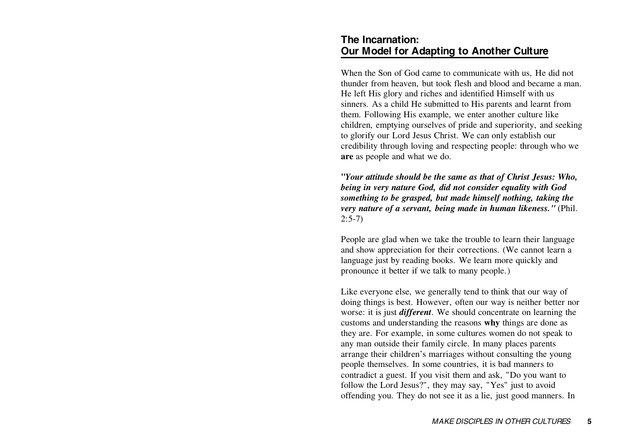### **The Incarnation:Our Model for Adapting to Another Culture**

When the Son of God came to communicate with us, He did not thunder from heaven, but took flesh and blood and became a man. He left His glory and riches and identified Himself with us sinners. As a child He submitted to His parents and learnt from them. Following His example, we enter another culture like children, emptying ourselves of pride and superiority, and seeking to glorify our Lord Jesus Christ. We can only establish our credibility through loving and respecting people: through who we **are** as people and what we do.

**"***Your attitude should be the same as that of Christ Jesus: Who, being in very nature God, did not consider equality with God something to be grasped, but made himself nothing, taking the very nature of a servant, being made in human likeness."* (Phil.  $2:5-7$ 

People are glad when we take the trouble to learn their language and show appreciation for their corrections. (We cannot learn a language just by reading books. We learn more quickly and pronounce it better if we talk to many people.)

Like everyone else, we generally tend to think that our way of doing things is best. However, often our way is neither better nor worse: it is just *different*. We should concentrate on learning the customs and understanding the reasons **why** things are done as they are. For example, in some cultures women do not speak to any man outside their family circle. In many places parents arrange their children's marriages without consulting the young people themselves. In some countries, it is bad manners to contradict a guest. If you visit them and ask, "Do you want to follow the Lord Jesus?", they may say, "Yes" just to avoid offending you. They do not see it as a lie, just good manners. In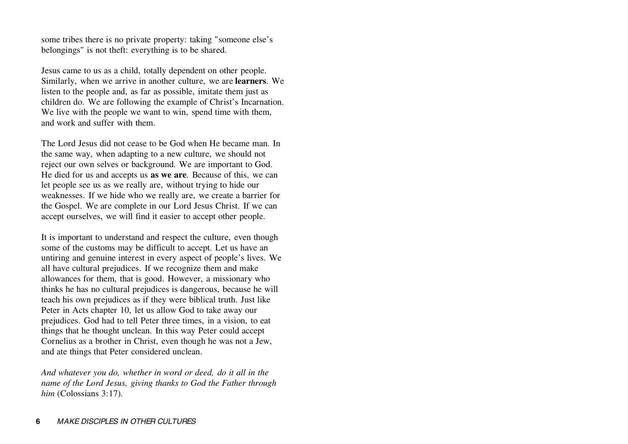some tribes there is no private property: taking "someone else's belongings" is not theft: everything is to be shared.

Jesus came to us as a child, totally dependent on other people. Similarly, when we arrive in another culture, we are **learners**. We listen to the people and, as far as possible, imitate them just as children do. We are following the example of Christ's Incarnation. We live with the people we want to win, spend time with them, and work and suffer with them.

The Lord Jesus did not cease to be God when He became man. Inthe same way, when adapting to a new culture, we should not reject our own selves or background. We are important to God. He died for us and accepts us **as we are**. Because of this, we can let people see us as we really are, without trying to hide our weaknesses. If we hide who we really are, we create a barrier for the Gospel. We are complete in our Lord Jesus Christ. If we can accept ourselves, we will find it easier to accept other people.

It is important to understand and respect the culture, even though some of the customs may be difficult to accept. Let us have an untiring and genuine interest in every aspect of people's lives. We all have cultural prejudices. If we recognize them and make allowances for them, that is good. However, a missionary who thinks he has no cultural prejudices is dangerous, because he will teach his own prejudices as if they were biblical truth. Just like Peter in Acts chapter 10, let us allow God to take away our prejudices. God had to tell Peter three times, in a vision, to eat things that he thought unclean. In this way Peter could accept Cornelius as a brother in Christ, even though he was not a Jew, and ate things that Peter considered unclean.

*And whatever you do, whether in word or deed, do it all in the name of the Lord Jesus, giving thanks to God the Father through him* (Colossians 3:17).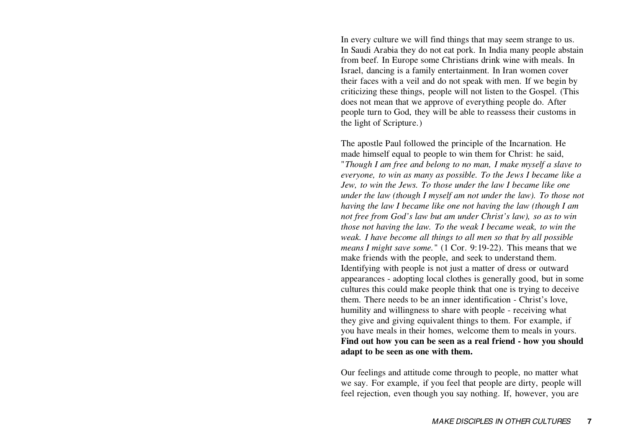In every culture we will find things that may seem strange to us. In Saudi Arabia they do not eat pork. In India many people abstain from beef. In Europe some Christians drink wine with meals. In Israel, dancing is a family entertainment. In Iran women cover their faces with a veil and do not speak with men. If we begin by criticizing these things, people will not listen to the Gospel. (This does not mean that we approve of everything people do. After people turn to God, they will be able to reassess their customs in the light of Scripture.)

The apostle Paul followed the principle of the Incarnation. He made himself equal to people to win them for Christ: he said, "*Though I am free and belong to no man, I make myself a slave to everyone, to win as many as possible. To the Jews I became like a Jew, to win the Jews. To those under the law I became like one under the law (though I myself am not under the law). To those not having the law I became like one not having the law (though I am not free from God's law but am under Christ's law), so as to win those not having the law. To the weak I became weak, to win the weak. I have become all things to all men so that by all possible means I might save some.*" (1 Cor. 9:19-22). This means that we make friends with the people, and seek to understand them. Identifying with people is not just a matter of dress or outward appearances - adopting local clothes is generally good, but in some cultures this could make people think that one is trying to deceive them. There needs to be an inner identification - Christ's love, humility and willingness to share with people - receiving what they give and giving equivalent things to them. For example, if you have meals in their homes, welcome them to meals in yours. **Find out how you can be seen as a real friend - how you should adapt to be seen as one with them.**

Our feelings and attitude come through to people, no matter what we say. For example, if you feel that people are dirty, people will feel rejection, even though you say nothing. If, however, you are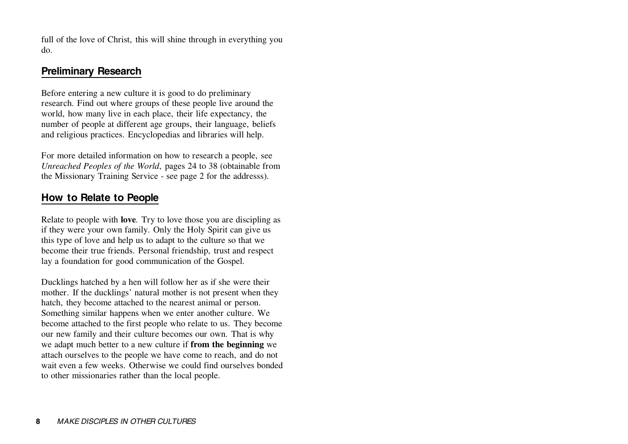full of the love of Christ, this will shine through in everything you do.

# **Preliminary Research**

Before entering a new culture it is good to do preliminary research. Find out where groups of these people live around the world, how many live in each place, their life expectancy, the number of people at different age groups, their language, beliefs and religious practices. Encyclopedias and libraries will help.

For more detailed information on how to research a people, see *Unreached Peoples of the World*, pages 24 to 38 (obtainable from the Missionary Training Service - see page 2 for the addresss).

# **How to Relate to People**

Relate to people with **love***.* Try to love those you are discipling as if they were your own family. Only the Holy Spirit can give us this type of love and help us to adapt to the culture so that we become their true friends. Personal friendship, trust and respect lay a foundation for good communication of the Gospel.

Ducklings hatched by a hen will follow her as if she were their mother. If the ducklings' natural mother is not present when they hatch, they become attached to the nearest animal or person. Something similar happens when we enter another culture. We become attached to the first people who relate to us. They become our new family and their culture becomes our own. That is why we adapt much better to a new culture if **from the beginning** we attach ourselves to the people we have come to reach, and do not wait even a few weeks. Otherwise we could find ourselves bondedto other missionaries rather than the local people.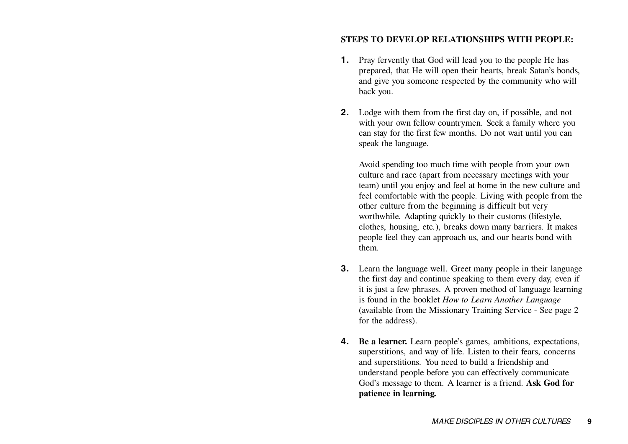#### **STEPS TO DEVELOP RELATIONSHIPS WITH PEOPLE:**

- **1.** Pray fervently that God will lead you to the people He has prepared, that He will open their hearts, break Satan's bonds, and give you someone respected by the community who will back you.
- **2.** Lodge with them from the first day on, if possible, and not with your own fellow countrymen. Seek a family where you can stay for the first few months. Do not wait until you can speak the language.

Avoid spending too much time with people from your own culture and race (apart from necessary meetings with your team) until you enjoy and feel at home in the new culture and feel comfortable with the people. Living with people from the other culture from the beginning is difficult but very worthwhile. Adapting quickly to their customs (lifestyle, clothes, housing, etc.), breaks down many barriers. It makes people feel they can approach us, and our hearts bond with them.

- **3.** Learn the language well. Greet many people in their language the first day and continue speaking to them every day, even if it is just a few phrases. A proven method of language learning is found in the booklet *How to Learn Another Language* (available from the Missionary Training Service - See page 2 for the address).
- **4. Be a learner.** Learn people's games, ambitions, expectations, superstitions, and way of life. Listen to their fears, concerns and superstitions. You need to build a friendship and understand people before you can effectively communicate God's message to them. A learner is a friend. **Ask God for patience in learning.**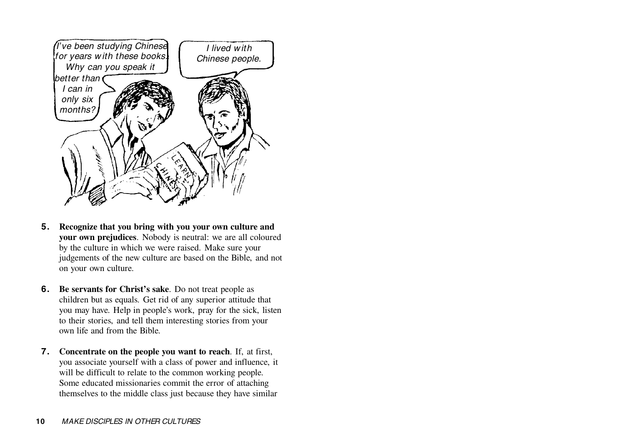

- **5. Recognize that you bring with you your own culture and your own prejudices**. Nobody is neutral: we are all coloured by the culture in which we were raised. Make sure your judgements of the new culture are based on the Bible, and not on your own culture.
- **6. Be servants for Christ's sake**. Do not treat people as children but as equals. Get rid of any superior attitude that you may have. Help in people's work, pray for the sick, listen to their stories, and tell them interesting stories from your own life and from the Bible.
- **7. Concentrate on the people you want to reach**. If, at first, you associate yourself with a class of power and influence, it will be difficult to relate to the common working people. Some educated missionaries commit the error of attaching themselves to the middle class just because they have similar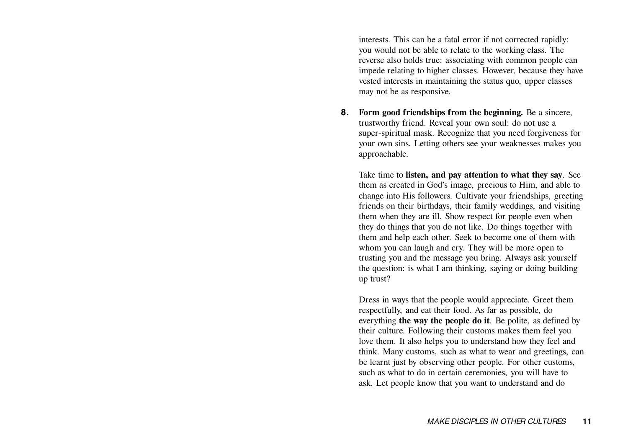interests. This can be a fatal error if not corrected rapidly: you would not be able to relate to the working class. The reverse also holds true: associating with common people can impede relating to higher classes. However, because they have vested interests in maintaining the status quo, upper classes may not be as responsive.

**8. Form good friendships from the beginning.** Be a sincere, trustworthy friend. Reveal your own soul: do not use a super-spiritual mask. Recognize that you need forgiveness for your own sins. Letting others see your weaknesses makes you approachable.

Take time to **listen, and pay attention to what they say**. See them as created in God's image, precious to Him, and able to change into His followers. Cultivate your friendships, greeting friends on their birthdays, their family weddings, and visiting them when they are ill. Show respect for people even when they do things that you do not like. Do things together with them and help each other. Seek to become one of them with whom you can laugh and cry. They will be more open to trusting you and the message you bring. Always ask yourself the question: is what I am thinking, saying or doing building up trust?

Dress in ways that the people would appreciate. Greet them respectfully, and eat their food. As far as possible, do everything **the way the people do it**. Be polite, as defined by their culture. Following their customs makes them feel you love them. It also helps you to understand how they feel and think. Many customs, such as what to wear and greetings, can be learnt just by observing other people. For other customs, such as what to do in certain ceremonies, you will have to ask. Let people know that you want to understand and do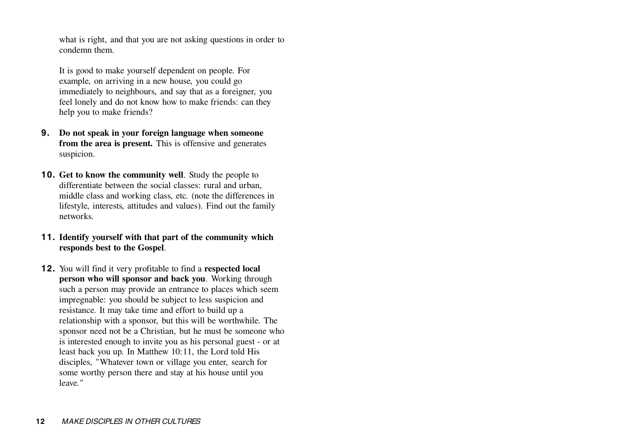what is right, and that you are not asking questions in order to condemn them.

It is good to make yourself dependent on people. For example, on arriving in a new house, you could go immediately to neighbours, and say that as a foreigner, you feel lonely and do not know how to make friends: can they help you to make friends?

- **9. Do not speak in your foreign language when someone from the area is present.** This is offensive and generates suspicion.
- **10. Get to know the community well**. Study the people to differentiate between the social classes: rural and urban, middle class and working class, etc. (note the differences in lifestyle, interests, attitudes and values). Find out the family networks.
- **11. Identify yourself with that part of the community which responds best to the Gospel**.
- **12.** You will find it very profitable to find a **respected local person who will sponsor and back you**. Working through such a person may provide an entrance to places which seem impregnable: you should be subject to less suspicion and resistance. It may take time and effort to build up a relationship with a sponsor, but this will be worthwhile. The sponsor need not be a Christian, but he must be someone who is interested enough to invite you as his personal guest - or at least back you up. In Matthew 10:11, the Lord told His disciples, "Whatever town or village you enter, search for some worthy person there and stay at his house until you leave."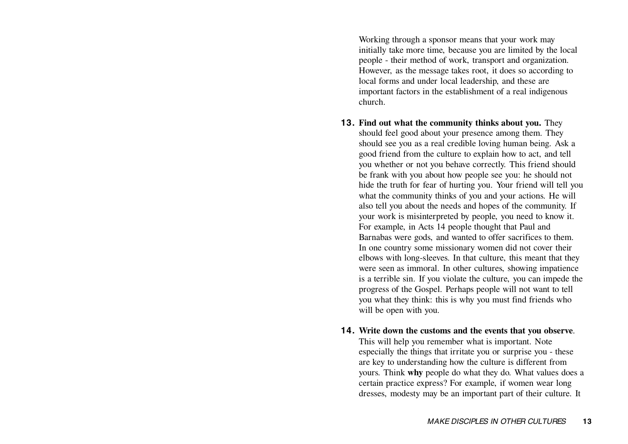Working through a sponsor means that your work may initially take more time, because you are limited by the local people - their method of work, transport and organization. However, as the message takes root, it does so according to local forms and under local leadership, and these are important factors in the establishment of a real indigenous church.

- **13. Find out what the community thinks about you.** They should feel good about your presence among them. They should see you as a real credible loving human being. Ask a good friend from the culture to explain how to act, and tell you whether or not you behave correctly. This friend should be frank with you about how people see you: he should not hide the truth for fear of hurting you. Your friend will tell you what the community thinks of you and your actions. He will also tell you about the needs and hopes of the community. If your work is misinterpreted by people, you need to know it. For example, in Acts 14 people thought that Paul and Barnabas were gods, and wanted to offer sacrifices to them. In one country some missionary women did not cover their elbows with long-sleeves. In that culture, this meant that they were seen as immoral. In other cultures, showing impatience is a terrible sin. If you violate the culture, you can impede the progress of the Gospel. Perhaps people will not want to tell you what they think: this is why you must find friends who will be open with you.
- **14. Write down the customs and the events that you observe**. This will help you remember what is important. Note especially the things that irritate you or surprise you - these are key to understanding how the culture is different from yours. Think **why** people do what they do. What values does a certain practice express? For example, if women wear long dresses, modesty may be an important part of their culture. It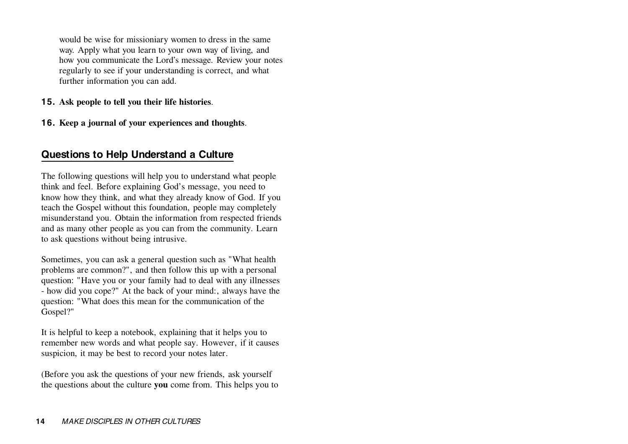would be wise for missioniary women to dress in the same way. Apply what you learn to your own way of living, and how you communicate the Lord's message. Review your notes regularly to see if your understanding is correct, and what further information you can add.

- **15. Ask people to tell you their life histories**.
- **16. Keep a journal of your experiences and thoughts**.

# **Questions to Help Understand a Culture**

The following questions will help you to understand what people think and feel. Before explaining God's message, you need to know how they think, and what they already know of God. If you teach the Gospel without this foundation, people may completely misunderstand you. Obtain the information from respected friends and as many other people as you can from the community. Learn to ask questions without being intrusive.

Sometimes, you can ask a general question such as "What health problems are common?", and then follow this up with a personal question: "Have you or your family had to deal with any illnesses - how did you cope?" At the back of your mind:, always have the question: "What does this mean for the communication of the Gospel?"

It is helpful to keep a notebook, explaining that it helps you to remember new words and what people say. However, if it causes suspicion, it may be best to record your notes later.

(Before you ask the questions of your new friends, ask yourself the questions about the culture **you** come from. This helps you to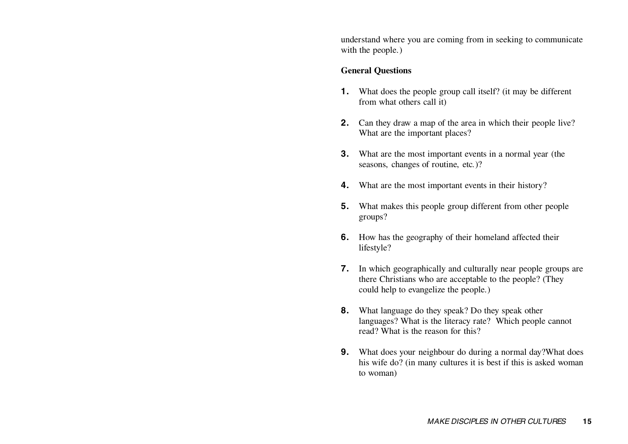understand where you are coming from in seeking to communicate with the people.)

#### **General Questions**

- **1.** What does the people group call itself? (it may be different from what others call it)
- **2.** Can they draw a map of the area in which their people live? What are the important places?
- **3.** What are the most important events in a normal year (the seasons, changes of routine, etc.)?
- **4.** What are the most important events in their history?
- **5.** What makes this people group different from other people groups?
- **6.** How has the geography of their homeland affected their lifestyle?
- **7.** In which geographically and culturally near people groups are there Christians who are acceptable to the people? (They could help to evangelize the people.)
- **8.** What language do they speak? Do they speak other languages? What is the literacy rate? Which people cannot read? What is the reason for this?
- **9.** What does your neighbour do during a normal day?What does his wife do? (in many cultures it is best if this is asked woman to woman)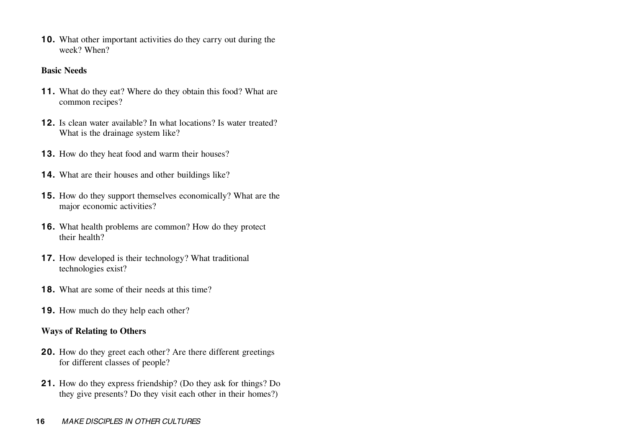**10.** What other important activities do they carry out during the week? When?

#### **Basic Needs**

- **11.** What do they eat? Where do they obtain this food? What are common recipes?
- **12.** Is clean water available? In what locations? Is water treated?What is the drainage system like?
- **13.** How do they heat food and warm their houses?
- **14.** What are their houses and other buildings like?
- **15.** How do they support themselves economically? What are the major economic activities?
- **16.** What health problems are common? How do they protect their health?
- **17.** How developed is their technology? What traditional technologies exist?
- **18.** What are some of their needs at this time?
- **19.** How much do they help each other?

#### **Ways of Relating to Others**

- **20.** How do they greet each other? Are there different greetings for different classes of people?
- **21.** How do they express friendship? (Do they ask for things? Do they give presents? Do they visit each other in their homes?)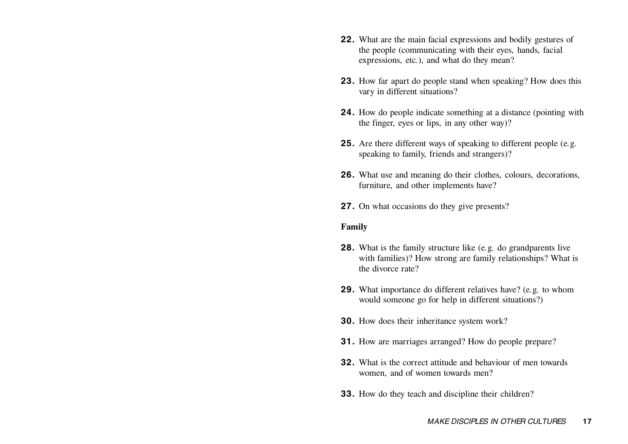- **22.** What are the main facial expressions and bodily gestures of the people (communicating with their eyes, hands, facial expressions, etc.), and what do they mean?
- **23.** How far apart do people stand when speaking? How does this vary in different situations?
- **24.** How do people indicate something at a distance (pointing with the finger, eyes or lips, in any other way)?
- **25.** Are there different ways of speaking to different people (e.g. speaking to family, friends and strangers)?
- **26.** What use and meaning do their clothes, colours, decorations, furniture, and other implements have?
- **27.** On what occasions do they give presents?

#### **Family**

- **28.** What is the family structure like (e.g. do grandparents live with families)? How strong are family relationships? What is the divorce rate?
- **29.** What importance do different relatives have? (e.g. to whom would someone go for help in different situations?)
- **30.** How does their inheritance system work?
- **31.** How are marriages arranged? How do people prepare?
- **32.** What is the correct attitude and behaviour of men towardswomen, and of women towards men?
- **33.** How do they teach and discipline their children?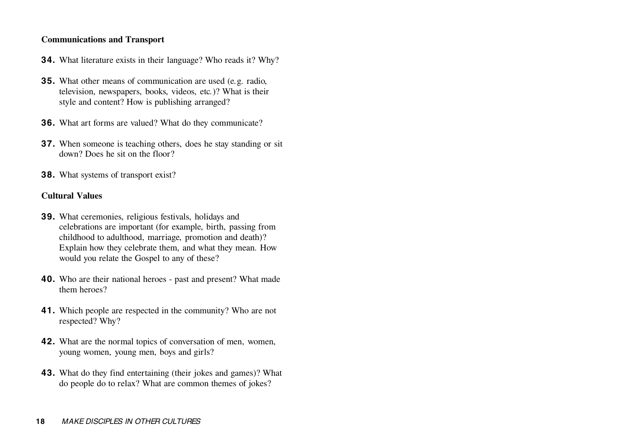#### **Communications and Transport**

- **34.** What literature exists in their language? Who reads it? Why?
- **35.** What other means of communication are used (e.g. radio, television, newspapers, books, videos, etc.)? What is their style and content? How is publishing arranged?
- **36.** What art forms are valued? What do they communicate?
- **37.** When someone is teaching others, does he stay standing or sit down? Does he sit on the floor?
- **38.** What systems of transport exist?

#### **Cultural Values**

- **39.** What ceremonies, religious festivals, holidays and celebrations are important (for example, birth, passing from childhood to adulthood, marriage, promotion and death)? Explain how they celebrate them, and what they mean. How would you relate the Gospel to any of these?
- **40.** Who are their national heroes past and present? What made them heroes?
- **41.** Which people are respected in the community? Who are not respected? Why?
- **42.** What are the normal topics of conversation of men, women, young women, young men, boys and girls?
- **43.** What do they find entertaining (their jokes and games)? What do people do to relax? What are common themes of jokes?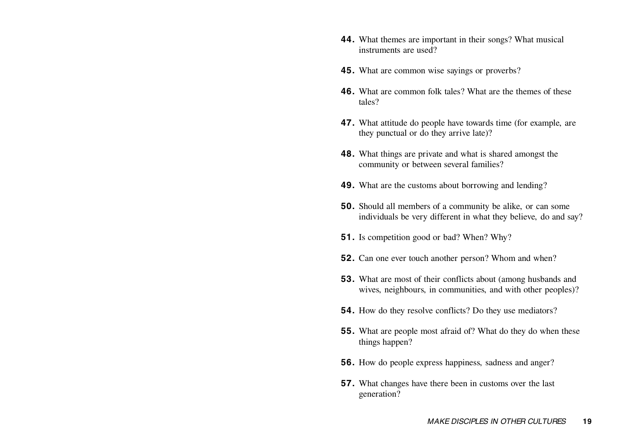- **44.** What themes are important in their songs? What musical instruments are used?
- **45.** What are common wise sayings or proverbs?
- **46.** What are common folk tales? What are the themes of thesetales?
- **47.** What attitude do people have towards time (for example, are they punctual or do they arrive late)?
- **48.** What things are private and what is shared amongst the community or between several families?
- **49.** What are the customs about borrowing and lending?
- **50.** Should all members of a community be alike, or can some individuals be very different in what they believe, do and say?
- **51.** Is competition good or bad? When? Why?
- **52.** Can one ever touch another person? Whom and when?
- **53.** What are most of their conflicts about (among husbands and wives, neighbours, in communities, and with other peoples)?
- **54.** How do they resolve conflicts? Do they use mediators?
- **55.** What are people most afraid of? What do they do when these things happen?
- **56.** How do people express happiness, sadness and anger?
- **57.** What changes have there been in customs over the last generation?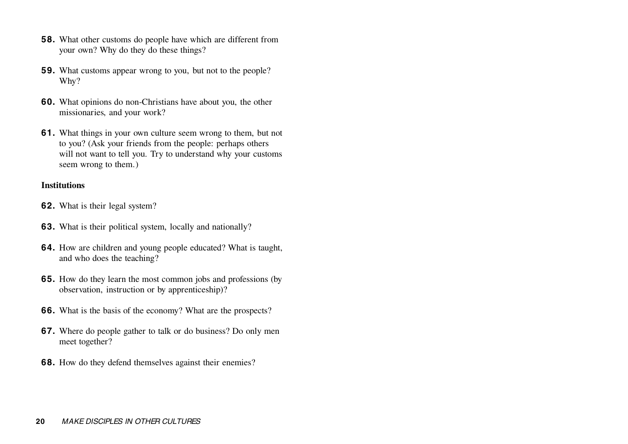- **58.** What other customs do people have which are different from your own? Why do they do these things?
- **59.** What customs appear wrong to you, but not to the people? Why?
- **60.** What opinions do non-Christians have about you, the other missionaries, and your work?
- **61.** What things in your own culture seem wrong to them, but not to you? (Ask your friends from the people: perhaps others will not want to tell you. Try to understand why your customs seem wrong to them.)

#### **Institutions**

- **62.** What is their legal system?
- **63.** What is their political system, locally and nationally?
- **64.** How are children and young people educated? What is taught, and who does the teaching?
- **65.** How do they learn the most common jobs and professions (by observation, instruction or by apprenticeship)?
- **66.** What is the basis of the economy? What are the prospects?
- **67.** Where do people gather to talk or do business? Do only men meet together?
- **68.** How do they defend themselves against their enemies?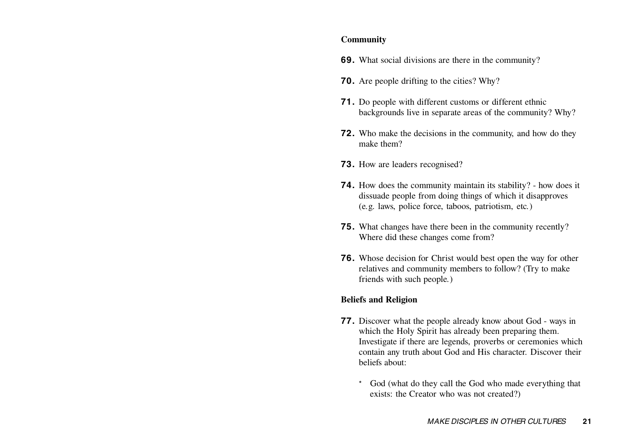#### **Community**

- **69.** What social divisions are there in the community?
- **70.** Are people drifting to the cities? Why?
- **71.** Do people with different customs or different ethnic backgrounds live in separate areas of the community? Why?
- **72.** Who make the decisions in the community, and how do they make them?
- **73.** How are leaders recognised?
- **74.** How does the community maintain its stability? how does it dissuade people from doing things of which it disapproves (e.g. laws, police force, taboos, patriotism, etc.)
- **75.** What changes have there been in the community recently? Where did these changes come from?
- **76.** Whose decision for Christ would best open the way for other relatives and community members to follow? (Try to make friends with such people.)

#### **Beliefs and Religion**

- **77.** Discover what the people already know about God ways in which the Holy Spirit has already been preparing them. Investigate if there are legends, proverbs or ceremonies which contain any truth about God and His character. Discover their beliefs about:
	- \* God (what do they call the God who made everything that exists: the Creator who was not created?)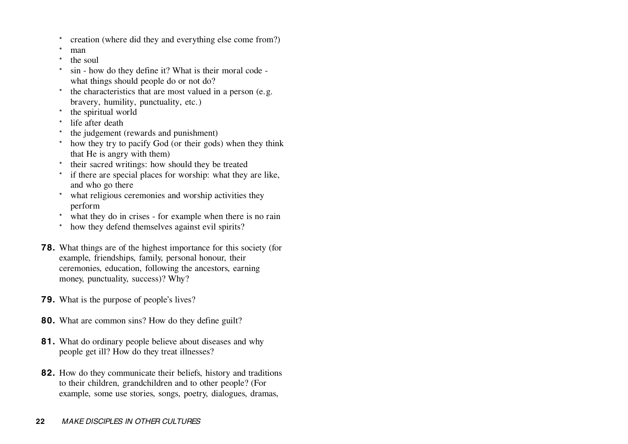- \*creation (where did they and everything else come from?)
- \*man
- \*the soul
- \* sin - how do they define it? What is their moral code what things should people do or not do?
- \* the characteristics that are most valued in a person (e.g. bravery, humility, punctuality, etc.)
- \*the spiritual world
- \*life after death
- \*the judgement (rewards and punishment)
- \* how they try to pacify God (or their gods) when they think that He is angry with them)
- \* their sacred writings: how should they be treated
- \* if there are special places for worship: what they are like, and who go there
- \* what religious ceremonies and worship activities they perform
- \* what they do in crises for example when there is no rain
- \*how they defend themselves against evil spirits?
- **78.** What things are of the highest importance for this society (for example, friendships, family, personal honour, their ceremonies, education, following the ancestors, earning money, punctuality, success)? Why?
- **79.** What is the purpose of people's lives?
- **80.** What are common sins? How do they define guilt?
- **81.** What do ordinary people believe about diseases and why people get ill? How do they treat illnesses?
- **82.** How do they communicate their beliefs, history and traditions to their children, grandchildren and to other people? (For example, some use stories, songs, poetry, dialogues, dramas,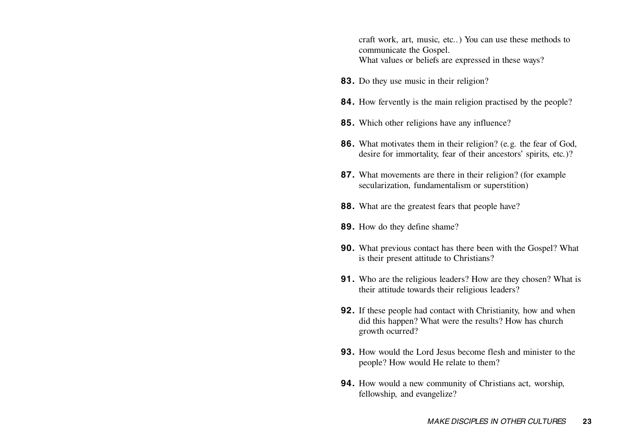craft work, art, music, etc..) You can use these methods to communicate the Gospel. What values or beliefs are expressed in these ways?

- **83.** Do they use music in their religion?
- **84.** How fervently is the main religion practised by the people?
- **85.** Which other religions have any influence?
- **86.** What motivates them in their religion? (e.g. the fear of God, desire for immortality, fear of their ancestors' spirits, etc.)?
- **87.** What movements are there in their religion? (for example secularization, fundamentalism or superstition)
- **88.** What are the greatest fears that people have?
- **89.** How do they define shame?
- **90.** What previous contact has there been with the Gospel? What is their present attitude to Christians?
- **91.** Who are the religious leaders? How are they chosen? What is their attitude towards their religious leaders?
- **92.** If these people had contact with Christianity, how and when did this happen? What were the results? How has church growth ocurred?
- **93.** How would the Lord Jesus become flesh and minister to thepeople? How would He relate to them?
- **94.** How would a new community of Christians act, worship, fellowship, and evangelize?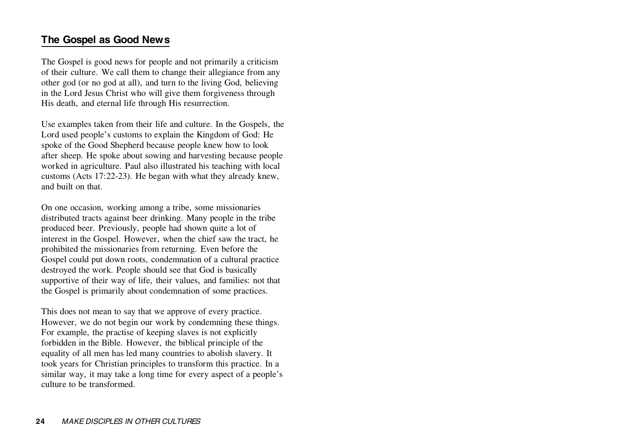# **The Gospel as Good News**

The Gospel is good news for people and not primarily a criticism of their culture. We call them to change their allegiance from any other god (or no god at all), and turn to the living God, believing in the Lord Jesus Christ who will give them forgiveness through His death, and eternal life through His resurrection.

Use examples taken from their life and culture. In the Gospels, the Lord used people's customs to explain the Kingdom of God: He spoke of the Good Shepherd because people knew how to look after sheep. He spoke about sowing and harvesting because people worked in agriculture. Paul also illustrated his teaching with local customs (Acts 17:22-23). He began with what they already knew, and built on that.

On one occasion, working among a tribe, some missionaries distributed tracts against beer drinking. Many people in the tribe produced beer. Previously, people had shown quite a lot of interest in the Gospel. However, when the chief saw the tract, he prohibited the missionaries from returning. Even before the Gospel could put down roots, condemnation of a cultural practice destroyed the work. People should see that God is basically supportive of their way of life, their values, and families: not that the Gospel is primarily about condemnation of some practices.

This does not mean to say that we approve of every practice. However, we do not begin our work by condemning these things. For example, the practise of keeping slaves is not explicitly forbidden in the Bible. However, the biblical principle of the equality of all men has led many countries to abolish slavery. It took years for Christian principles to transform this practice. In a similar way, it may take a long time for every aspect of a people's culture to be transformed.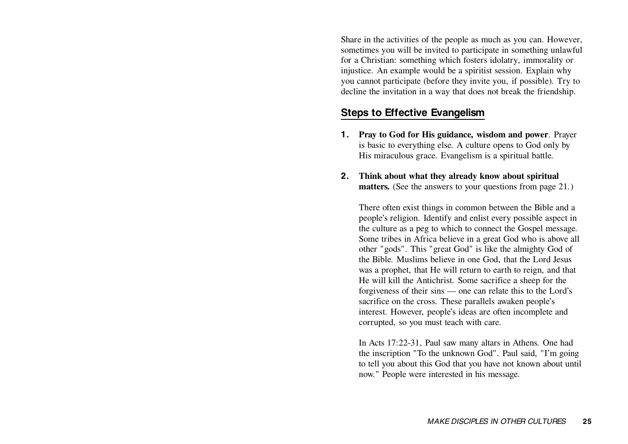Share in the activities of the people as much as you can. However, sometimes you will be invited to participate in something unlawful for a Christian: something which fosters idolatry, immorality or injustice. An example would be a spiritist session. Explain why you cannot participate (before they invite you, if possible). Try to decline the invitation in a way that does not break the friendship.

### **Steps to Effective Evangelism**

- **1. Pray to God for His guidance, wisdom and power**. Prayer is basic to everything else. A culture opens to God only by His miraculous grace. Evangelism is a spiritual battle.
- **2. Think about what they already know about spiritual matters.** (See the answers to your questions from page 21.)

There often exist things in common between the Bible and a people's religion. Identify and enlist every possible aspect in the culture as a peg to which to connect the Gospel message. Some tribes in Africa believe in a great God who is above all other "gods". This "great God" is like the almighty God of the Bible. Muslims believe in one God, that the Lord Jesus was a prophet, that He will return to earth to reign, and that He will kill the Antichrist. Some sacrifice a sheep for the forgiveness of their sins — one can relate this to the Lord's sacrifice on the cross. These parallels awaken people's interest. However, people's ideas are often incomplete and corrupted, so you must teach with care.

In Acts 17:22-31, Paul saw many altars in Athens. One had the inscription "To the unknown God". Paul said, "I'm going to tell you about this God that you have not known about until now." People were interested in his message.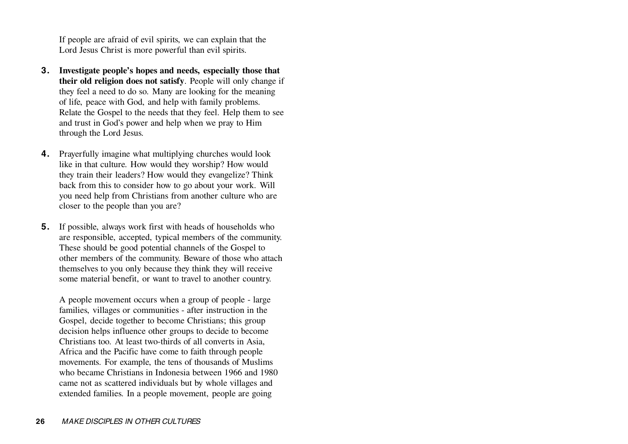If people are afraid of evil spirits, we can explain that the Lord Jesus Christ is more powerful than evil spirits.

- **3. Investigate people's hopes and needs, especially those that their old religion does not satisfy**. People will only change if they feel a need to do so. Many are looking for the meaning of life, peace with God, and help with family problems. Relate the Gospel to the needs that they feel. Help them to see and trust in God's power and help when we pray to Him through the Lord Jesus.
- **4.** Prayerfully imagine what multiplying churches would look like in that culture. How would they worship? How would they train their leaders? How would they evangelize? Think back from this to consider how to go about your work. Will you need help from Christians from another culture who are closer to the people than you are?
- **5.** If possible, always work first with heads of households who are responsible, accepted, typical members of the community. These should be good potential channels of the Gospel to other members of the community. Beware of those who attach themselves to you only because they think they will receive some material benefit, or want to travel to another country.

A people movement occurs when a group of people - large families, villages or communities - after instruction in the Gospel, decide together to become Christians; this group decision helps influence other groups to decide to become Christians too. At least two-thirds of all converts in Asia, Africa and the Pacific have come to faith through people movements. For example, the tens of thousands of Muslims who became Christians in Indonesia between 1966 and 1980came not as scattered individuals but by whole villages and extended families. In a people movement, people are going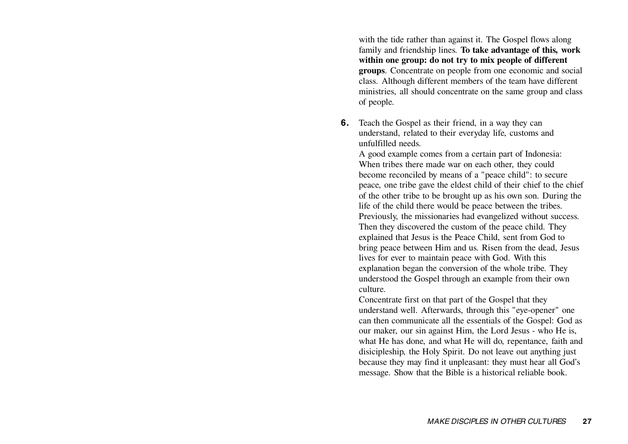with the tide rather than against it. The Gospel flows along family and friendship lines. **To take advantage of this, work within one group: do not try to mix people of different groups**. Concentrate on people from one economic and social class. Although different members of the team have different ministries, all should concentrate on the same group and class of people.

**6.** Teach the Gospel as their friend, in a way they can understand, related to their everyday life, customs and unfulfilled needs.

A good example comes from a certain part of Indonesia: When tribes there made war on each other, they could become reconciled by means of a "peace child": to secure peace, one tribe gave the eldest child of their chief to the chief of the other tribe to be brought up as his own son. During the life of the child there would be peace between the tribes. Previously, the missionaries had evangelized without success. Then they discovered the custom of the peace child. They explained that Jesus is the Peace Child, sent from God to bring peace between Him and us. Risen from the dead, Jesus lives for ever to maintain peace with God. With this explanation began the conversion of the whole tribe. They understood the Gospel through an example from their own culture.

Concentrate first on that part of the Gospel that they understand well. Afterwards, through this "eye-opener" one can then communicate all the essentials of the Gospel: God as our maker, our sin against Him, the Lord Jesus - who He is, what He has done, and what He will do, repentance, faith and disicipleship, the Holy Spirit. Do not leave out anything just because they may find it unpleasant: they must hear all God's message. Show that the Bible is a historical reliable book.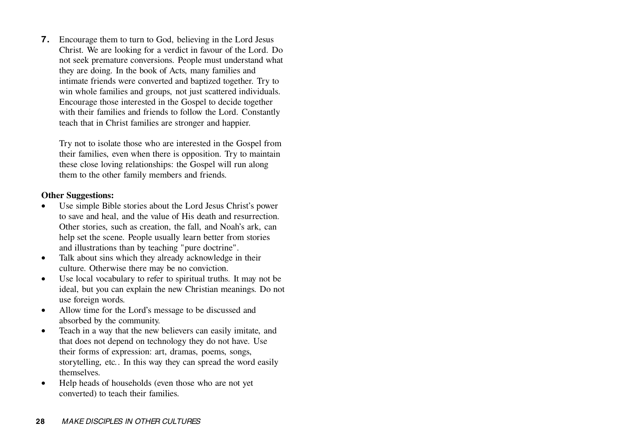**7.** Encourage them to turn to God, believing in the Lord Jesus Christ. We are looking for a verdict in favour of the Lord. Do not seek premature conversions. People must understand what they are doing. In the book of Acts, many families and intimate friends were converted and baptized together. Try to win whole families and groups, not just scattered individuals. Encourage those interested in the Gospel to decide together with their families and friends to follow the Lord. Constantly teach that in Christ families are stronger and happier.

Try not to isolate those who are interested in the Gospel from their families, even when there is opposition. Try to maintain these close loving relationships: the Gospel will run along them to the other family members and friends.

#### **Other Suggestions:**

- • Use simple Bible stories about the Lord Jesus Christ's power to save and heal, and the value of His death and resurrection. Other stories, such as creation, the fall, and Noah's ark, can help set the scene. People usually learn better from stories and illustrations than by teaching "pure doctrine".
- • Talk about sins which they already acknowledge in their culture. Otherwise there may be no conviction.
- $\bullet$  Use local vocabulary to refer to spiritual truths. It may not be ideal, but you can explain the new Christian meanings. Do not use foreign words.
- • Allow time for the Lord's message to be discussed and absorbed by the community.
- $\bullet$  Teach in a way that the new believers can easily imitate, and that does not depend on technology they do not have. Use their forms of expression: art, dramas, poems, songs, storytelling, etc.. In this way they can spread the word easily themselves.
- • Help heads of households (even those who are not yet converted) to teach their families.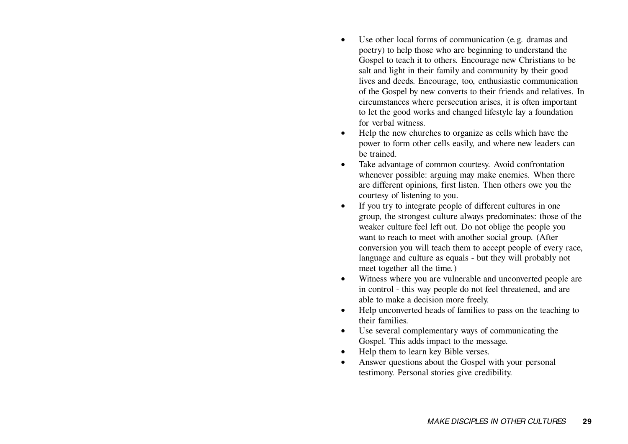- • Use other local forms of communication (e.g. dramas and poetry) to help those who are beginning to understand the Gospel to teach it to others. Encourage new Christians to be salt and light in their family and community by their good lives and deeds. Encourage, too, enthusiastic communication of the Gospel by new converts to their friends and relatives. In circumstances where persecution arises, it is often important to let the good works and changed lifestyle lay a foundation for verbal witness.
- • Help the new churches to organize as cells which have the power to form other cells easily, and where new leaders can be trained.
- • Take advantage of common courtesy. Avoid confrontation whenever possible: arguing may make enemies. When there are different opinions, first listen. Then others owe you the courtesy of listening to you.
- • If you try to integrate people of different cultures in one group, the strongest culture always predominates: those of the weaker culture feel left out. Do not oblige the people you want to reach to meet with another social group. (After conversion you will teach them to accept people of every race, language and culture as equals - but they will probably not meet together all the time.)
- • Witness where you are vulnerable and unconverted people are in control - this way people do not feel threatened, and are able to make a decision more freely.
- • Help unconverted heads of families to pass on the teaching to their families.
- • Use several complementary ways of communicating the Gospel. This adds impact to the message.
- •Help them to learn key Bible verses.
- • Answer questions about the Gospel with your personal testimony. Personal stories give credibility.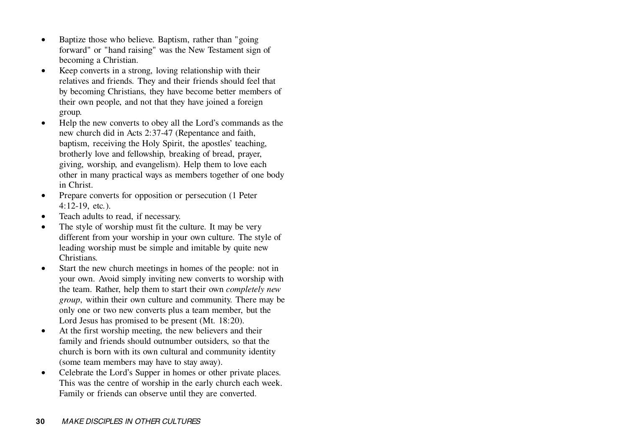- • Baptize those who believe. Baptism, rather than "going forward" or "hand raising" was the New Testament sign of becoming a Christian.
- $\bullet$  Keep converts in a strong, loving relationship with their relatives and friends. They and their friends should feel that by becoming Christians, they have become better members of their own people, and not that they have joined a foreign group.
- • Help the new converts to obey all the Lord's commands as the new church did in Acts 2:37-47 (Repentance and faith, baptism, receiving the Holy Spirit, the apostles' teaching, brotherly love and fellowship, breaking of bread, prayer, giving, worship, and evangelism). Help them to love each other in many practical ways as members together of one body in Christ.
- • Prepare converts for opposition or persecution (1 Peter 4:12-19, etc.).
- •Teach adults to read, if necessary.
- • The style of worship must fit the culture. It may be very different from your worship in your own culture. The style of leading worship must be simple and imitable by quite new Christians.
- • Start the new church meetings in homes of the people: not in your own. Avoid simply inviting new converts to worship with the team. Rather, help them to start their own *completely new group*, within their own culture and community. There may be only one or two new converts plus a team member, but the Lord Jesus has promised to be present (Mt. 18:20).
- $\bullet$  At the first worship meeting, the new believers and their family and friends should outnumber outsiders, so that the church is born with its own cultural and community identity (some team members may have to stay away).
- $\bullet$  Celebrate the Lord's Supper in homes or other private places. This was the centre of worship in the early church each week. Family or friends can observe until they are converted.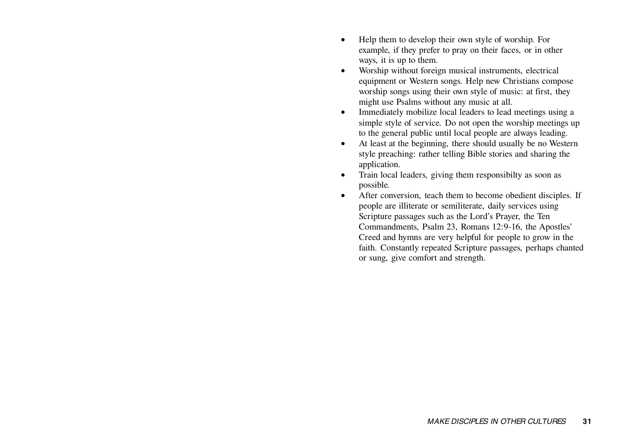- • Help them to develop their own style of worship. For example, if they prefer to pray on their faces, or in other ways, it is up to them.
- $\bullet$  Worship without foreign musical instruments, electrical equipment or Western songs. Help new Christians compose worship songs using their own style of music: at first, they might use Psalms without any music at all.
- • Immediately mobilize local leaders to lead meetings using a simple style of service. Do not open the worship meetings up to the general public until local people are always leading.
- • At least at the beginning, there should usually be no Western style preaching: rather telling Bible stories and sharing the application.
- • Train local leaders, giving them responsibilty as soon as possible.
- • After conversion, teach them to become obedient disciples. If people are illiterate or semiliterate, daily services using Scripture passages such as the Lord's Prayer, the Ten Commandments, Psalm 23, Romans 12:9-16, the Apostles' Creed and hymns are very helpful for people to grow in the faith. Constantly repeated Scripture passages, perhaps chanted or sung, give comfort and strength.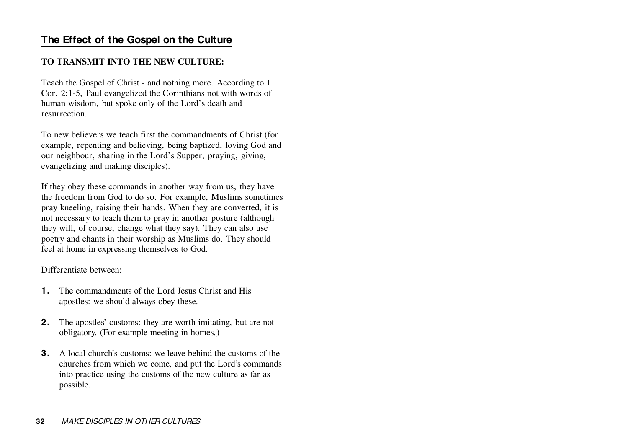# **The Effect of the Gospel on the Culture**

#### **TO TRANSMIT INTO THE NEW CULTURE:**

Teach the Gospel of Christ - and nothing more. According to 1 Cor. 2:1-5, Paul evangelized the Corinthians not with words of human wisdom, but spoke only of the Lord's death and resurrection.

To new believers we teach first the commandments of Christ (for example, repenting and believing, being baptized, loving God and our neighbour, sharing in the Lord's Supper, praying, giving, evangelizing and making disciples).

If they obey these commands in another way from us, they have the freedom from God to do so. For example, Muslims sometimes pray kneeling, raising their hands. When they are converted, it is not necessary to teach them to pray in another posture (although they will, of course, change what they say). They can also use poetry and chants in their worship as Muslims do. They should feel at home in expressing themselves to God.

Differentiate between:

- **1.** The commandments of the Lord Jesus Christ and Hisapostles: we should always obey these.
- **2.** The apostles' customs: they are worth imitating, but are not obligatory. (For example meeting in homes.)
- **3.** A local church's customs: we leave behind the customs of thechurches from which we come, and put the Lord's commands into practice using the customs of the new culture as far as possible.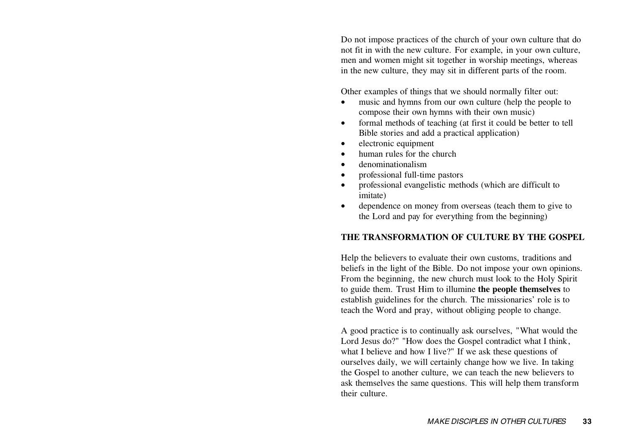Do not impose practices of the church of your own culture that do not fit in with the new culture. For example, in your own culture, men and women might sit together in worship meetings, whereas in the new culture, they may sit in different parts of the room.

Other examples of things that we should normally filter out:

- • music and hymns from our own culture (help the people to compose their own hymns with their own music)
- • formal methods of teaching (at first it could be better to tell Bible stories and add a practical application)
- •electronic equipment
- •human rules for the church
- •denominationalism
- •professional full-time pastors
- • professional evangelistic methods (which are difficult to imitate)
- • dependence on money from overseas (teach them to give to the Lord and pay for everything from the beginning)

#### **THE TRANSFORMATION OF CULTURE BY THE GOSPEL**

Help the believers to evaluate their own customs, traditions and beliefs in the light of the Bible. Do not impose your own opinions. From the beginning, the new church must look to the Holy Spirit to guide them. Trust Him to illumine **the people themselves** to establish guidelines for the church. The missionaries' role is to teach the Word and pray, without obliging people to change.

A good practice is to continually ask ourselves, "What would the Lord Jesus do?" "How does the Gospel contradict what I think, what I believe and how I live?" If we ask these questions of ourselves daily, we will certainly change how we live. In taking the Gospel to another culture, we can teach the new believers to ask themselves the same questions. This will help them transform their culture.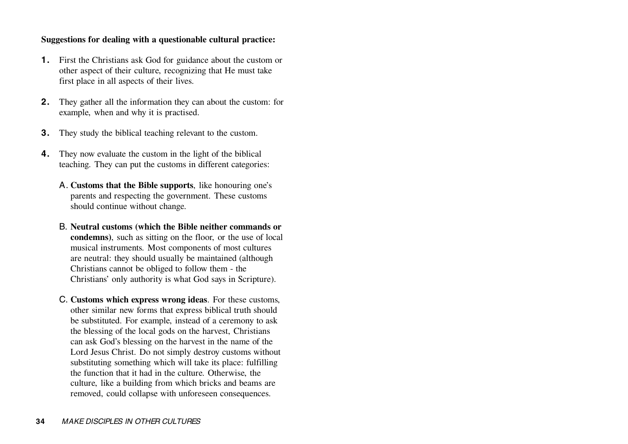#### **Suggestions for dealing with a questionable cultural practice:**

- **1.** First the Christians ask God for guidance about the custom or other aspect of their culture, recognizing that He must take first place in all aspects of their lives.
- **2.** They gather all the information they can about the custom: for example, when and why it is practised.
- **3.**They study the biblical teaching relevant to the custom.
- **4.** They now evaluate the custom in the light of the biblical teaching. They can put the customs in different categories:
	- A. **Customs that the Bible supports**, like honouring one's parents and respecting the government. These customs should continue without change.
	- B. **Neutral customs (which the Bible neither commands or condemns)**, such as sitting on the floor, or the use of local musical instruments. Most components of most cultures are neutral: they should usually be maintained (although Christians cannot be obliged to follow them - the Christians' only authority is what God says in Scripture).
	- C. **Customs which express wrong ideas**. For these customs, other similar new forms that express biblical truth should be substituted. For example, instead of a ceremony to ask the blessing of the local gods on the harvest, Christians can ask God's blessing on the harvest in the name of the Lord Jesus Christ. Do not simply destroy customs without substituting something which will take its place: fulfilling the function that it had in the culture. Otherwise, the culture, like a building from which bricks and beams are removed, could collapse with unforeseen consequences.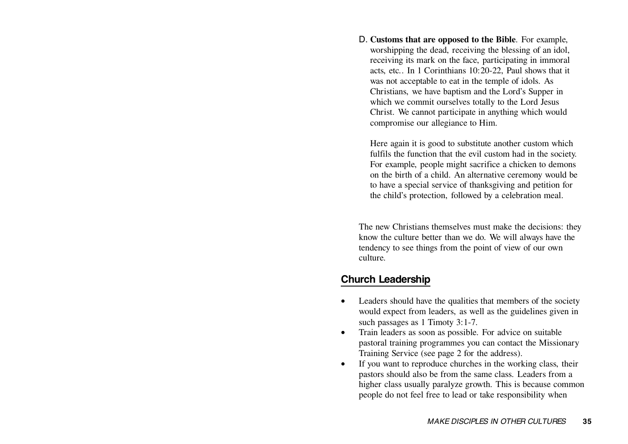D. **Customs that are opposed to the Bible**. For example, worshipping the dead, receiving the blessing of an idol, receiving its mark on the face, participating in immoral acts, etc.. In 1 Corinthians 10:20-22, Paul shows that it was not acceptable to eat in the temple of idols. As Christians, we have baptism and the Lord's Supper in which we commit ourselves totally to the Lord Jesus Christ. We cannot participate in anything which would compromise our allegiance to Him.

Here again it is good to substitute another custom which fulfils the function that the evil custom had in the society. For example, people might sacrifice a chicken to demons on the birth of a child. An alternative ceremony would be to have a special service of thanksgiving and petition for the child's protection, followed by a celebration meal.

The new Christians themselves must make the decisions: they know the culture better than we do. We will always have the tendency to see things from the point of view of our own culture.

## **Church Leadership**

- • Leaders should have the qualities that members of the society would expect from leaders, as well as the guidelines given in such passages as 1 Timoty 3:1-7.
- • Train leaders as soon as possible. For advice on suitable pastoral training programmes you can contact the Missionary Training Service (see page 2 for the address).
- • If you want to reproduce churches in the working class, their pastors should also be from the same class. Leaders from a higher class usually paralyze growth. This is because common people do not feel free to lead or take responsibility when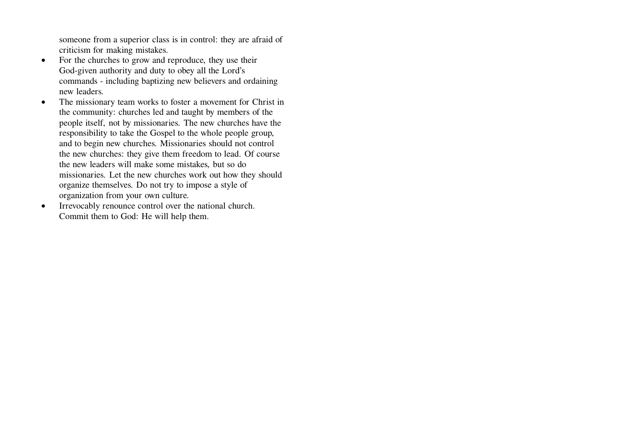someone from a superior class is in control: they are afraid of criticism for making mistakes.

- • For the churches to grow and reproduce, they use their God-given authority and duty to obey all the Lord's commands - including baptizing new believers and ordaining new leaders.
- • The missionary team works to foster a movement for Christ in the community: churches led and taught by members of the people itself, not by missionaries. The new churches have the responsibility to take the Gospel to the whole people group, and to begin new churches. Missionaries should not control the new churches: they give them freedom to lead. Of course the new leaders will make some mistakes, but so do missionaries. Let the new churches work out how they should organize themselves. Do not try to impose a style of organization from your own culture.
- $\bullet$  Irrevocably renounce control over the national church. Commit them to God: He will help them.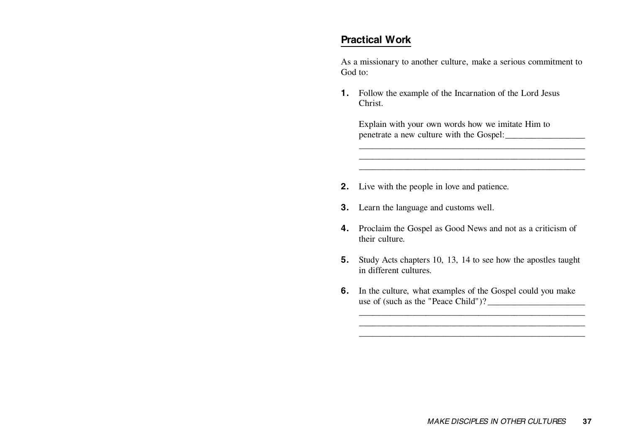# **Practical Work**

As a missionary to another culture, make a serious commitment to God to:

**1.** Follow the example of the Incarnation of the Lord Jesus Christ.

Explain with your own words how we imitate Him to penetrate a new culture with the Gospel:

- **2.** Live with the people in love and patience.
- **3.** Learn the language and customs well.
- **4.** Proclaim the Gospel as Good News and not as a criticism of their culture.
- **5.** Study Acts chapters 10, 13, 14 to see how the apostles taught in different cultures.
- **6.** In the culture, what examples of the Gospel could you make use of (such as the "Peace Child")?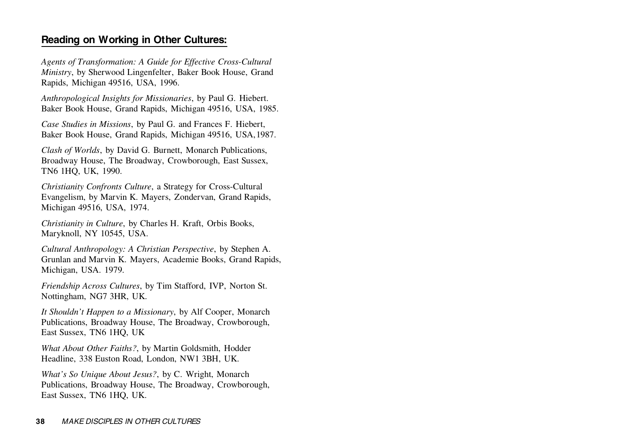# **Reading on Working in Other Cultures:**

*Agents of Transformation: A Guide for Effective Cross-Cultural Ministry*, by Sherwood Lingenfelter, Baker Book House, Grand Rapids, Michigan 49516, USA, 1996.

*Anthropological Insights for Missionaries*, by Paul G. Hiebert. Baker Book House, Grand Rapids, Michigan 49516, USA, 1985.

*Case Studies in Missions*, by Paul G. and Frances F. Hiebert, Baker Book House, Grand Rapids, Michigan 49516, USA,1987.

*Clash of Worlds*, by David G. Burnett, Monarch Publications, Broadway House, The Broadway, Crowborough, East Sussex, TN6 1HQ, UK, 1990.

*Christianity Confronts Culture*, a Strategy for Cross-Cultural Evangelism, by Marvin K. Mayers, Zondervan, Grand Rapids, Michigan 49516, USA, 1974.

*Christianity in Culture*, by Charles H. Kraft, Orbis Books, Maryknoll, NY 10545, USA.

*Cultural Anthropology: A Christian Perspective*, by Stephen A. Grunlan and Marvin K. Mayers, Academie Books, Grand Rapids, Michigan, USA. 1979.

*Friendship Across Cultures*, by Tim Stafford, IVP, Norton St. Nottingham, NG7 3HR, UK.

*It Shouldn't Happen to a Missionary*, by Alf Cooper, Monarch Publications, Broadway House, The Broadway, Crowborough, East Sussex, TN6 1HQ, UK

*What About Other Faiths?*, by Martin Goldsmith, Hodder Headline, 338 Euston Road, London, NW1 3BH, UK.

*What's So Unique About Jesus?*, by C. Wright, Monarch Publications, Broadway House, The Broadway, Crowborough, East Sussex, TN6 1HQ, UK.